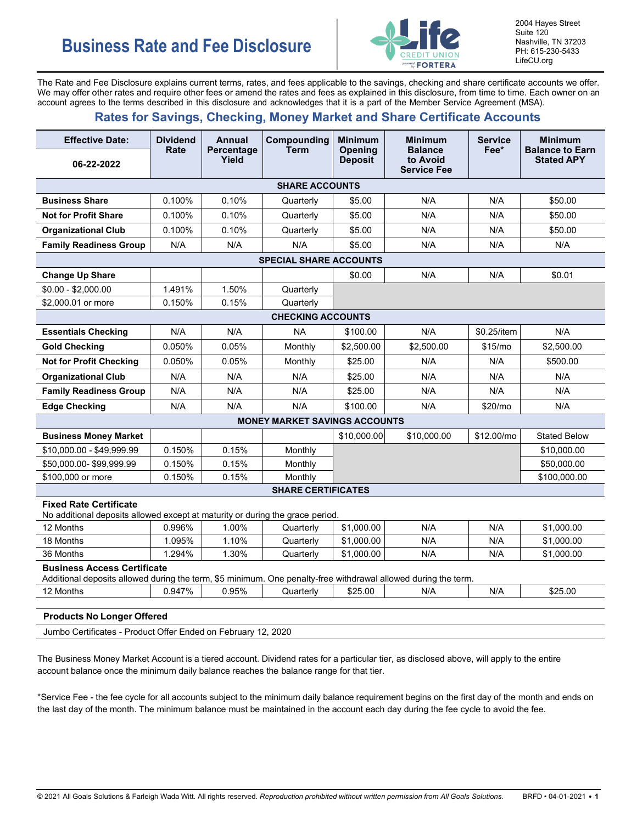

2004 Hayes Street Suite 120 Nashville, TN 37203 PH: 615-230-5433 LifeCU.org

The Rate and Fee Disclosure explains current terms, rates, and fees applicable to the savings, checking and share certificate accounts we offer. We may offer other rates and require other fees or amend the rates and fees as explained in this disclosure, from time to time. Each owner on an account agrees to the terms described in this disclosure and acknowledges that it is a part of the Member Service Agreement (MSA).

## **Rates for Savings, Checking, Money Market and Share Certificate Accounts**

| <b>Effective Date:</b>                                                                                                                               | <b>Dividend</b><br>Rate | <b>Annual</b>       | Compounding<br><b>Term</b>           | <b>Minimum</b><br><b>Opening</b> | <b>Minimum</b><br><b>Balance</b> | <b>Service</b><br>Fee* | <b>Minimum</b><br><b>Balance to Earn</b> |
|------------------------------------------------------------------------------------------------------------------------------------------------------|-------------------------|---------------------|--------------------------------------|----------------------------------|----------------------------------|------------------------|------------------------------------------|
| 06-22-2022                                                                                                                                           |                         | Percentage<br>Yield |                                      | <b>Deposit</b>                   | to Avoid<br><b>Service Fee</b>   |                        | <b>Stated APY</b>                        |
|                                                                                                                                                      |                         |                     | <b>SHARE ACCOUNTS</b>                |                                  |                                  |                        |                                          |
| <b>Business Share</b>                                                                                                                                | 0.100%                  | 0.10%               | Quarterly                            | \$5.00                           | N/A                              | N/A                    | \$50.00                                  |
| <b>Not for Profit Share</b>                                                                                                                          | 0.100%                  | 0.10%               | Quarterly                            | \$5.00                           | N/A                              | N/A                    | \$50.00                                  |
| <b>Organizational Club</b>                                                                                                                           | 0.100%                  | 0.10%               | Quarterly                            | \$5.00                           | N/A                              | N/A                    | \$50.00                                  |
| <b>Family Readiness Group</b>                                                                                                                        | N/A                     | N/A                 | N/A                                  | \$5.00                           | N/A                              | N/A                    | N/A                                      |
|                                                                                                                                                      |                         |                     | <b>SPECIAL SHARE ACCOUNTS</b>        |                                  |                                  |                        |                                          |
| <b>Change Up Share</b>                                                                                                                               |                         |                     |                                      | \$0.00                           | N/A                              | N/A                    | \$0.01                                   |
| \$0.00 - \$2,000.00                                                                                                                                  | 1.491%                  | 1.50%               | Quarterly                            |                                  |                                  |                        |                                          |
| \$2,000.01 or more                                                                                                                                   | 0.150%                  | 0.15%               | Quarterly                            |                                  |                                  |                        |                                          |
| <b>CHECKING ACCOUNTS</b>                                                                                                                             |                         |                     |                                      |                                  |                                  |                        |                                          |
| <b>Essentials Checking</b>                                                                                                                           | N/A                     | N/A                 | <b>NA</b>                            | \$100.00                         | N/A                              | \$0.25/item            | N/A                                      |
| <b>Gold Checking</b>                                                                                                                                 | 0.050%                  | 0.05%               | Monthly                              | \$2,500.00                       | \$2,500.00                       | \$15/mo                | \$2,500.00                               |
| <b>Not for Profit Checking</b>                                                                                                                       | 0.050%                  | 0.05%               | Monthly                              | \$25.00                          | N/A                              | N/A                    | \$500.00                                 |
| <b>Organizational Club</b>                                                                                                                           | N/A                     | N/A                 | N/A                                  | \$25.00                          | N/A                              | N/A                    | N/A                                      |
| <b>Family Readiness Group</b>                                                                                                                        | N/A                     | N/A                 | N/A                                  | \$25.00                          | N/A                              | N/A                    | N/A                                      |
| <b>Edge Checking</b>                                                                                                                                 | N/A                     | N/A                 | N/A                                  | \$100.00                         | N/A                              | \$20/mo                | N/A                                      |
|                                                                                                                                                      |                         |                     | <b>MONEY MARKET SAVINGS ACCOUNTS</b> |                                  |                                  |                        |                                          |
| <b>Business Money Market</b>                                                                                                                         |                         |                     |                                      | \$10,000.00                      | \$10,000.00                      | \$12.00/mo             | <b>Stated Below</b>                      |
| \$10,000.00 - \$49,999.99                                                                                                                            | 0.150%                  | 0.15%               | Monthly                              |                                  |                                  |                        | \$10,000.00                              |
| \$50,000.00-\$99,999.99                                                                                                                              | 0.150%                  | 0.15%               | Monthly                              |                                  |                                  |                        | \$50,000.00                              |
| \$100,000 or more                                                                                                                                    | 0.150%                  | 0.15%               | Monthly                              |                                  |                                  |                        | \$100.000.00                             |
|                                                                                                                                                      |                         |                     | <b>SHARE CERTIFICATES</b>            |                                  |                                  |                        |                                          |
| <b>Fixed Rate Certificate</b><br>No additional deposits allowed except at maturity or during the grace period.                                       |                         |                     |                                      |                                  |                                  |                        |                                          |
| 12 Months                                                                                                                                            | 0.996%                  | 1.00%               | Quarterly                            | \$1,000.00                       | N/A                              | N/A                    | \$1,000.00                               |
| 18 Months                                                                                                                                            | 1.095%                  | 1.10%               | Quarterly                            | \$1,000.00                       | N/A                              | N/A                    | \$1,000.00                               |
| 36 Months                                                                                                                                            | 1.294%                  | 1.30%               | Quarterly                            | \$1,000.00                       | N/A                              | N/A                    | \$1.000.00                               |
| <b>Business Access Certificate</b><br>Additional deposits allowed during the term, \$5 minimum. One penalty-free withdrawal allowed during the term. |                         |                     |                                      |                                  |                                  |                        |                                          |
| 12 Months                                                                                                                                            | 0.947%                  | 0.95%               | Quarterly                            | \$25.00                          | N/A                              | N/A                    | \$25.00                                  |
| <b>Products No Longer Offered</b><br>Jumbo Certificates - Product Offer Ended on February 12, 2020                                                   |                         |                     |                                      |                                  |                                  |                        |                                          |

The Business Money Market Account is a tiered account. Dividend rates for a particular tier, as disclosed above, will apply to the entire account balance once the minimum daily balance reaches the balance range for that tier.

\*Service Fee - the fee cycle for all accounts subject to the minimum daily balance requirement begins on the first day of the month and ends on the last day of the month. The minimum balance must be maintained in the account each day during the fee cycle to avoid the fee.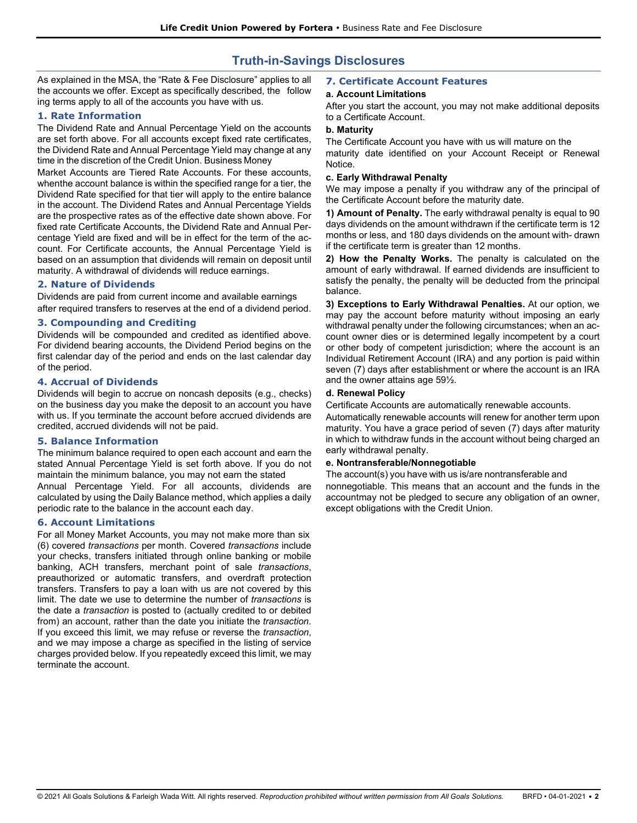# **Truth-in-Savings Disclosures**

As explained in the MSA, the "Rate & Fee Disclosure" applies to all the accounts we offer. Except as specifically described, the follow ing terms apply to all of the accounts you have with us.

#### **1. Rate Information**

The Dividend Rate and Annual Percentage Yield on the accounts are set forth above. For all accounts except fixed rate certificates, the Dividend Rate and Annual Percentage Yield may change at any time in the discretion of the Credit Union. Business Money

Market Accounts are Tiered Rate Accounts. For these accounts, whenthe account balance is within the specified range for a tier, the Dividend Rate specified for that tier will apply to the entire balance in the account. The Dividend Rates and Annual Percentage Yields are the prospective rates as of the effective date shown above. For fixed rate Certificate Accounts, the Dividend Rate and Annual Percentage Yield are fixed and will be in effect for the term of the account. For Certificate accounts, the Annual Percentage Yield is based on an assumption that dividends will remain on deposit until maturity. A withdrawal of dividends will reduce earnings.

#### **2. Nature of Dividends**

Dividends are paid from current income and available earnings after required transfers to reserves at the end of a dividend period.

#### **3. Compounding and Crediting**

Dividends will be compounded and credited as identified above. For dividend bearing accounts, the Dividend Period begins on the first calendar day of the period and ends on the last calendar day of the period.

#### **4. Accrual of Dividends**

Dividends will begin to accrue on noncash deposits (e.g., checks) on the business day you make the deposit to an account you have with us. If you terminate the account before accrued dividends are credited, accrued dividends will not be paid.

#### **5. Balance Information**

The minimum balance required to open each account and earn the stated Annual Percentage Yield is set forth above. If you do not maintain the minimum balance, you may not earn the stated

Annual Percentage Yield. For all accounts, dividends are calculated by using the Daily Balance method, which applies a daily periodic rate to the balance in the account each day.

#### **6. Account Limitations**

For all Money Market Accounts, you may not make more than six (6) covered *transactions* per month. Covered *transactions* include your checks, transfers initiated through online banking or mobile banking, ACH transfers, merchant point of sale *transactions*, preauthorized or automatic transfers, and overdraft protection transfers. Transfers to pay a loan with us are not covered by this limit. The date we use to determine the number of *transactions* is the date a *transaction* is posted to (actually credited to or debited from) an account, rather than the date you initiate the *transaction*. If you exceed this limit, we may refuse or reverse the *transaction*, and we may impose a charge as specified in the listing of service charges provided below. If you repeatedly exceed this limit, we may terminate the account.

#### **7. Certificate Account Features**

#### **a. Account Limitations**

After you start the account, you may not make additional deposits to a Certificate Account.

#### **b. Maturity**

The Certificate Account you have with us will mature on the maturity date identified on your Account Receipt or Renewal Notice.

#### **c. Early Withdrawal Penalty**

We may impose a penalty if you withdraw any of the principal of the Certificate Account before the maturity date.

**1) Amount of Penalty.** The early withdrawal penalty is equal to 90 days dividends on the amount withdrawn if the certificate term is 12 months or less, and 180 days dividends on the amount with- drawn if the certificate term is greater than 12 months.

**2) How the Penalty Works.** The penalty is calculated on the amount of early withdrawal. If earned dividends are insufficient to satisfy the penalty, the penalty will be deducted from the principal balance.

**3) Exceptions to Early Withdrawal Penalties.** At our option, we may pay the account before maturity without imposing an early withdrawal penalty under the following circumstances; when an account owner dies or is determined legally incompetent by a court or other body of competent jurisdiction; where the account is an Individual Retirement Account (IRA) and any portion is paid within seven (7) days after establishment or where the account is an IRA and the owner attains age 59½.

#### **d. Renewal Policy**

Certificate Accounts are automatically renewable accounts.

Automatically renewable accounts will renew for another term upon maturity. You have a grace period of seven (7) days after maturity in which to withdraw funds in the account without being charged an early withdrawal penalty.

#### **e. Nontransferable/Nonnegotiable**

The account(s) you have with us is/are nontransferable and nonnegotiable. This means that an account and the funds in the accountmay not be pledged to secure any obligation of an owner, except obligations with the Credit Union.